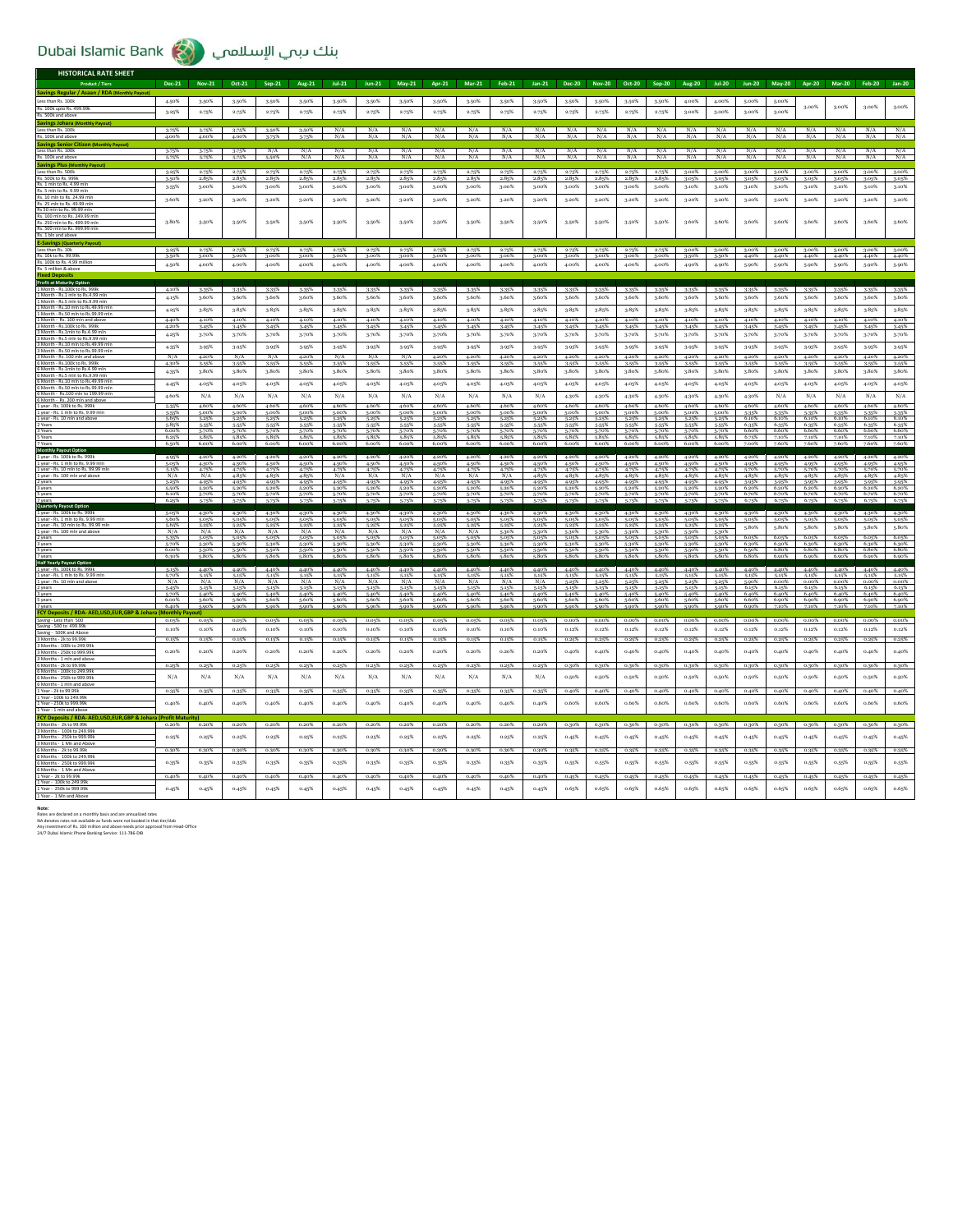| <b>HISTORICAL RATE SHEET</b>                                                             |                               |                         |                                  |                         |                         |                         |                         |                         |                         |                         |                         |                         |                         |                         |                         |                         |                |                |                |                |                |                |                                  |                                  |
|------------------------------------------------------------------------------------------|-------------------------------|-------------------------|----------------------------------|-------------------------|-------------------------|-------------------------|-------------------------|-------------------------|-------------------------|-------------------------|-------------------------|-------------------------|-------------------------|-------------------------|-------------------------|-------------------------|----------------|----------------|----------------|----------------|----------------|----------------|----------------------------------|----------------------------------|
| <b>Product / Tiers</b>                                                                   | Dec-21                        | <b>Nov-21</b>           | Oct-21                           | Sep-21                  | Aug-21                  | $Jul-21$                | $Jun-21$                | <b>May-21</b>           | Apr-21                  | <b>Mar-21</b>           | Feb-21                  | Jan-21                  | <b>Dec-20</b>           | <b>Nov-20</b>           | Oct-20                  | Sep-20                  | Aug-20         | $Jul-20$       |                | Jun-20 May-20  | <b>Apr-20</b>  | <b>Mar-20</b>  | <b>Feb-20</b>                    | <b>Jan-20</b>                    |
| Savings Regular / Asaan / RDA (Monthly Payout<br>Less than Rs. 100k                      | 4.50%                         | 3.50%                   | 3.50%                            | 3.50%                   | 3.50%                   | 3.50%                   | 3.50%                   | 3.50%                   | 3.50%                   | 3.50%                   | 3.50%                   | 3.50%                   | 3.50%                   | 3.50%                   | 3.50%                   | 3.50%                   | 4.00%          | 4.00%          | 5,00%          | 5,00%          |                |                |                                  |                                  |
| Rs. 100k upto Rs. 499.99k                                                                |                               |                         |                                  |                         |                         |                         |                         |                         |                         |                         |                         |                         |                         |                         |                         |                         |                |                |                |                | 3.00%          | 3.00%          | 3.00%                            | 3.00%                            |
| Rs. 500k and above<br>Savings Johara                                                     | 3.25%                         | 2.75%                   | 2.75%                            | 2.75%                   | 2.75%                   | 2.75%                   | 2.75%                   | 2.75%                   | 2.75%                   | 2.75%                   | 2.75%                   | 2.75%                   | 2.75%                   | 2.75%                   | 2.75%                   | 2.75%                   | 3.00%          | 3.00%          | 3.00%          | 3.00%          |                |                |                                  |                                  |
| Less than Rs. 100k                                                                       | 3-75%                         | 3.75%                   | 3.75%                            | 3.50%                   | 3.50%                   | N/A                     | N/A                     | N/A                     | N/A                     | N/A                     | N/A                     | N/A                     | N/A                     | N/A                     | N/A                     | N/A                     | N/A            | N/A            | N/A            | N/A            | N/A            | N/A            | N/A                              | N/A                              |
| Rs. 100k and ab<br><b>Savings Senior Citize</b>                                          | 4.00%                         |                         |                                  |                         |                         | N/A                     | N/A                     | N/A                     | N/A                     | N/A                     | N/A                     | N/A                     | N/A                     | N/A                     | N/A                     | N/A                     | N/A            |                | N/A            | N/A            | N/A            | N/A            | N/A                              | N/A                              |
| Less than Rs. 100k                                                                       | 3.75%                         | 3.75%                   | 3.75%                            | N/A                     | N/A                     | N/A                     | N/A                     | N/A                     | N/A                     | N/A                     | N/A                     | N/A                     | N/A                     | N/A                     | N/A                     | N/A                     | N/A            | N/A            | N/A            | N/A            | N/A            | N/A            | N/A                              | $\frac{N/A}{N/A}$                |
| Rs. 100k and ab:<br><b>Savings Plus (M</b>                                               | 5.75%                         | 5.75%                   |                                  | 5,50%                   | N/A                     | N/A                     | N/A                     | N/A                     | N/A                     | N/A                     | N/A                     | N/A                     | N/A                     | N/A                     | N/A                     | N/A                     | N/A            | N/A            | N/A            | N/A            | N/A            | N/A            | N/A                              |                                  |
| Less than Rs. 500k<br>Rs. 500k to Rs. 999                                                | $\frac{3.25\%}{3.50\%}$       | $\frac{2.75\%}{2.85\%}$ | $\frac{2.75\%}{2.85\%}$          | $\frac{2.75\%}{2.85\%}$ | $\frac{2.75\%}{2.85\%}$ | $\frac{2.75\%}{2.85\%}$ | $\frac{2.75\%}{2.85\%}$ | $\frac{2.75\%}{2.85\%}$ | $\frac{2.75\%}{2.85\%}$ | $\frac{2.75\%}{2.85\%}$ | $\frac{2.75\%}{2.85\%}$ | $\frac{2.75\%}{2.85\%}$ | $\frac{2.75\%}{2.85\%}$ | $\frac{2.75\%}{2.85\%}$ | $\frac{2.75\%}{2.85\%}$ | $\frac{2.75\%}{2.85\%}$ | 3.00%<br>3.05% | 3.00%          | 3.00%          | 3.00%<br>3.05% | 3.00%          | 3.00%          | 3.00%                            | 3.00%<br>3.05%                   |
| Rs. 1 mln to Rs. 4.99 ml                                                                 | 3.55%                         | 3.00%                   | 3.00%                            | 3.00%                   | 3.00%                   | 3.00%                   | 3.00%                   | 3.00%                   | 3.00%                   | 3.00%                   | 3.00%                   | 3.00%                   | 3.00%                   | 3.00%                   | 3.00%                   | 3.00%                   | 3.10%          | 3.05%<br>3.10% | 3.05%<br>3.10% | 3.10%          | 3.05%<br>3.10% | 3.05%<br>3.10% | 3.05%<br>3.10%                   | 3.10%                            |
| Rs. 5 mln to Rs. 9.99 mln<br>Rs. 10 mln to Rs. 24.99 mln                                 | 3.60%                         | 3.20%                   | 3.20%                            | 3.20%                   | 3.20%                   | 3.20%                   | 3.20%                   | 3.20%                   | 3.20%                   | 3.20%                   | 3.20%                   | 3.20%                   | 3.20%                   | $3.20\%$                | 3.20%                   | 3.20%                   | 3.20%          | 3.20%          | 3.20%          | 3.20%          | 3.20%          | 3.20%          | 3.20%                            | 3.20%                            |
| Rs. 25 mln to Rs. 49.99 mln<br>Rs 50 mln to Rs. 99.99 m                                  |                               |                         |                                  |                         |                         |                         |                         |                         |                         |                         |                         |                         |                         |                         |                         |                         |                |                |                |                |                |                |                                  |                                  |
| Rs. 100 mln to Rs. 249.99 ml                                                             | 3.80%                         | 3.50%                   | 3.50%                            | $3.50\%$                | 3.50%                   | 3.50%                   | 3.50%                   | 3.50%                   | 3.50%                   | 3.50%                   | 3.50%                   | 3-50%                   | 3.50%                   | 3.50%                   | 3.50%                   | 3.50%                   | 3.60%          | 3.60%          | 3.60%          | 3.60%          | 3.60%          | 3.60%          | 3.60%                            | 3.60%                            |
| Rs. 250 mln to Rs. 499.99 mln<br>Rs. 500 mln to Rs. 999.99 mln                           |                               |                         |                                  |                         |                         |                         |                         |                         |                         |                         |                         |                         |                         |                         |                         |                         |                |                |                |                |                |                |                                  |                                  |
| Rs. 1 bln and ab<br><b>E-Savings (Qua</b>                                                |                               |                         |                                  |                         |                         |                         |                         |                         |                         |                         |                         |                         |                         |                         |                         |                         |                |                |                |                |                |                |                                  |                                  |
| Less than Rs. 10k                                                                        | 3.25%                         | 2.75%                   | 2.75%                            | 2.75%                   | 2.75%                   | 2.75%                   | 2.75%                   | 2.75%                   | 2.75%                   | 2.75%                   | 2.75%                   | 2.75%                   | 2.75%                   | 2.75%                   | 2.75%                   | 2.75%                   | 3.00%          | $3.00\%$       | 3.00%          | $3.00\%$       | $3.00\%$       | $3.00\%$       | $3.00\%$                         | 3.00%                            |
| Rs. 10k to Rs. 99.99k<br>Rs. 100k to Rs. 4.99 million<br>Rs. 5 million & above           | 3.50%<br>4.50%                | 3.00%<br>4.00%          | 3.00%<br>4.00%                   | 3.00%<br>4.00%          | 3.00%<br>4.00%          | 3.00%<br>4.00%          | 3.00%<br>4.00%          | 3.00%<br>4.00%          | 3.00%<br>4.00%          | 3.00%<br>4.00%          | 3.00%<br>4.00%          | 3.00%<br>4.00%          | 3.00%<br>4.00%          | 3.00%<br>4.00%          | 3.00%<br>4.00%          | 3.00%<br>4.00%          | 3.50%<br>4.90% | 3.50%<br>4.90% | 4.40%<br>5,90% | 4.40%<br>5,90% | 4.40%<br>5,90% | 4.40%<br>5.90% | 4.40%<br>5.90%                   | 4.40%<br>5.90%                   |
| red Der                                                                                  |                               |                         |                                  |                         |                         |                         |                         |                         |                         |                         |                         |                         |                         |                         |                         |                         |                |                |                |                |                |                |                                  |                                  |
| <b>Profit at Maturity Option</b>                                                         |                               |                         |                                  |                         |                         |                         |                         |                         |                         |                         |                         |                         |                         |                         |                         |                         |                |                |                |                |                |                |                                  |                                  |
| 1 Month - Rs.1 mln to Rs.4.99 mln                                                        | 4.10%<br>4.15%                | 3.35%<br>3.60%          | 3.35%<br>3.60%                   | 3.35%<br>3.60%          | 3.35%<br>3.60%          | 3.35%<br>3.60%          | 3.35%<br>3.60%          | 3.35%<br>3.60%          | 3.35%<br>3.60%          | 3.35%<br>3.60%          | 3.35%<br>3.60%          | 3.35%<br>3.60%          | 3.35%<br>3.60%          | 3.35%<br>3.60%          | 3.35%<br>3.60%          | 3-35%<br>3.60%          | 3.35%<br>3.60% | 3.35%<br>3.60% | 3.35%<br>3.60% | 3.35%<br>3.60% | 3.35%<br>3.60% | 3.35%<br>3.60% | 3.35%<br>3.60%                   | 3.35%<br>3.60%                   |
| 1 Month - Rs.5 mln to Rs.9.99 mln<br>1 Month - Rs.10 mln to Rs.49.99 ml                  | 4.25%                         | 3-85%                   | 3.85%                            | 3.85%                   | 3.85%                   | 3.85%                   | 3.85%                   | 3.85%                   | 3.85%                   | 3.85%                   | 3.85%                   | 3-85%                   | 3.85%                   | 3.85%                   | 3.85%                   | 3-85%                   | 3.85%          | 3.85%          | 3.85%          | 3.85%          | 3-85%          | 3.85%          | 3.85%                            | 3.85%                            |
| 1 Month - Rs.50 mln to Rs.99.99 m<br>1 Month - Rs. 100 mln and abov                      | 4.40%                         | 4.10%                   | 4.10%                            | 4.10%                   | 4.10%                   | 4.10%                   | 4.10%                   | 4.10%                   | 4.10%                   | 4.10%                   | 4.10%                   | 4.10%                   | 4.10%                   | 4.10%                   | 4.10%                   | 4.10%                   | 4.10%          | 4.10%          | 4.10%          | 4.10%          | 4.10%          | 4.10%          | 4.10%                            | 4.10%                            |
| 3 Month - Rs. 100k to Rs. 999<br>3 Month - Rs.1mln to Rs.4.99 m                          | 4.20%                         | 3.45%                   | 3.45%                            | 3-45%                   | 3.45%                   | 3.45%                   | 3.45%                   | 3.45%                   | 3.45%                   | 3.45%                   | 3.45%                   | 3.45%                   | 3.45%                   | 3.45%                   | 3.45%                   | 3-45%                   | 3.45%          | 3.45%          | 3.45%          | 3.45%          | 3.45%          | 3.45%          | 3.45%                            | 3.45%                            |
| 3 Month - Rs 5 mln to Rs 9 99 ml                                                         | 4.25%                         | 3.70%                   | 3.70%                            | 3.70%                   | 3.70%                   | 3.70%                   | 3.70%                   | 3.70%                   | 3.70%                   | 3.70%                   | 3.70%                   | 3.70%                   | 3.70%                   | 3.70%                   | 3.70%                   | 3.70%                   | 3.70%          | 3.70%          | 3.70%          | 3.70%          | 3.70%          | 3.70%          | 3.70%                            | 3.70%                            |
| 3 Month - Rs.10 mln to Rs.49.99 ml<br>3 Month - Rs.50 mln to Rs.99.99 m                  | 4.35%                         | 3.95%                   | 3.95%                            | 3-95%                   | 3.95%                   | 3.95%                   | 3.95%                   | 3.95%                   | 3.95%                   | 3.95%                   | 3.95%                   | 3.95%                   | 3.95%                   | 3.95%                   | 3.95%                   | 3-95%                   | 3.95%          | 3.95%          | 3.95%          | 3.95%          | 3-95%          | 3.95%          | 3.95%                            | 3.95%                            |
| 3 Month - Rs. 100 mln and above<br>6 Month - Rs. 100k to Rs. 9991                        | N/A<br>4.30%                  | 4.20%<br>3.55%          | N/A<br>3.55%                     | N/A<br>3-55%            | 4.20%<br>3.55%          | N/A<br>3.55%            | N/A<br>3.55%            | N/A<br>3.55%            | 4.20%<br>3.55%          | 4.20%<br>3.55%          | 4.20%<br>3.55%          | 4.20%<br>3.55%          | 4.20%<br>3.55%          | 4.20%<br>3.55%          | 4.20%<br>3.55%          | 4.20%<br>3.55%          | 4.20%<br>3.55% | 4.20%<br>3.55% | 4.20%<br>3.55% | 4.20%<br>3.55% | 4.20%<br>3.55% | 4.20%<br>3.55% | 4.20%<br>3.55%                   | 4.20%<br>3-55%                   |
| 6 Month - Rs.1mln to Rs.4.99 mln<br>6 Month - Rs.5 mln to Rs.9.99 m                      | 4.35%                         | 3.80%                   | 3.80%                            | 3.80%                   | 3.80%                   | 3.80%                   | 3.80%                   | 3.80%                   | 3.80%                   | 3.80%                   | 3.80%                   | 3.80%                   | 3.80%                   | 3.80%                   | 3.80%                   | 3.80%                   | 3.80%          | 3.80%          | 3.80%          | 3.80%          | 3.80%          | 3.80%          | 3.80%                            | 3.80%                            |
| 6 Month - Rs. 10 mln to Rs. 49.99 m<br>6 Month - Rs. S                                   | 4.45%                         | 4.05%                   | 4.05%                            | 4.05%                   | 4.05%                   | 4.05%                   | 4.05%                   | 4.05%                   | 4.05%                   | 4.05%                   | 4.05%                   | 4.05%                   | 4.05%                   | 4.05%                   | 4.05%                   | 4.05%                   | 4.05%          | 4.05%          | 4.05%          | 4.05%          | 4.05%          | 4.05%          | 4.05%                            | 4.05%                            |
| 6 Month - Rs.100 mln to 199.99 ml                                                        | 4.60%                         | N/A                     | N/A                              | N/A                     | N/A                     | N/A                     | N/A                     | N/A                     | N/A                     | N/A                     | N/A                     | N/A                     | 4.30%                   | 4.30%                   | 4.30%                   | 4.30%                   | 4.30%          | 4.30%          | 4.30%          | N/A            | N/A            | N/A            | N/A                              | N/A                              |
| 6 Month - Rs. 200<br>1 year - Rs. 100k to Rs. 999k<br>1 year - Rs. 1 mln to Rs. 9.99 mln | 5,35%                         | 4.60%                   | 4.60%                            | 4.60%                   | 4.60%                   | 4.60%                   | 4.60%                   | 4.60%                   | 4.60%                   | 4.60%                   | 4.60%                   | 4.60%                   | 4.60%                   | 4.60%                   | 4.60%                   | 4.60%                   | 4.60%          | 4.60%          | 4.60%          | 4.60%          | 4.60%          | 4.60%          | 4.60%                            | 4.60%                            |
| 1 year - Rs. 10 mln and abov                                                             | 5-55%<br>5,65%                | 5.00%<br>5.25%          | 5.00%                            | 5.00%                   | 5.00%<br>5.25%          | 5.00%                   | 5.00%<br>5.25%          | 5.00%<br>5.25%          | 5.00%<br>5.25%          | 5.00%                   | 5.00%<br>5.25%          | 5.00%<br>5.25%          | 5.00%<br>5.25%          | 5.00%<br>5.25%          | 5.00%<br>5.25%          | 5.00%                   | 5.00%<br>5.25% | 5.00%<br>5.25% | 5-35%<br>6.10% | 5-35%<br>6.10% | 5-35%<br>6.10% | 5-35%<br>6.10% | 5-35%<br>6.10%                   | 5-35%<br>6.10%                   |
| 3 Years                                                                                  | 5.85%                         | 5-55%                   | 5-55%                            | 5-55%                   | 5-55%                   | 5.55%                   | 5-55%                   | 5-55%                   | 5.55%                   | 5-55%                   | 5-55%                   | 5.55%                   | 5-55%                   | 5-55%                   | 5-55%<br>5.70%          | 5-55%                   | 5.55%          | 5.55%<br>5.70% | 6.35%<br>6.60% | 6.35%<br>6.60% | 6.35%<br>6.60% | 6.35%<br>6.60% | 6.35%                            | 6.35%                            |
| 5 Years<br>7 Vear                                                                        | $6.00\%$<br>$6.25\%$<br>6.50% | 5.70%<br>6.00%          | $\frac{5.70\%}{5.85\%}$<br>6.00% | 5.70%<br>600            | 5.70%<br>6.00%          | 5.70%<br>6.00%          | 5.70%<br>6.00%          | 5.70%<br>6.00%          | 5.70%<br>6.00%          | 5.70%<br>6.00%          | 5.70%<br>6.00%          | 5.70%<br>6.00%          | 5.70%<br>6.00%          | 5.70%<br>6.00%          | 5.85%<br>6.00%          | 5.70%<br>5.85%<br>6.00% | 5.70%<br>6.00% | 5.85%<br>6.00% | 6.75%<br>7.00% | 7.10%<br>760%  | 7.10%<br>760%  | 7.10%<br>760%  | $\frac{6.60\%}{7.10\%}$<br>7.60% | $\frac{6.60\%}{7.10\%}$<br>7.60% |
| Monthly Payout Option                                                                    |                               |                         |                                  |                         |                         |                         |                         |                         |                         |                         |                         |                         |                         |                         |                         |                         |                |                |                |                |                |                |                                  |                                  |
| 1 year - Rs. 100k to Rs. 999k<br>1 year - Rs. 1 mln to Rs. 9.99 mln                      | 4.95%<br>5.05%                | 4.20%<br>4.50%          | 4.20%<br>4.50%                   | 4.20%<br>4.50%          | 4.20%<br>4.50%          | 4.20%<br>4.50%          | 4.20%<br>4.50%          | 4.20%<br>4.50%          | 4.20%<br>4.50%          | 4.20%<br>4.50%          | 4.20%<br>4.50%          | 4.20%<br>4.50%          | 4.20%<br>4.50%          | 4.20%<br>4.50%          | 4.20%<br>4.50%          | 4.20%<br>4.50%          | 4.20%<br>4.50% | 4.20%<br>4.50% | 4.20%<br>4.95% | 4.20%<br>4.95% | 4.20%<br>4.95% | 4.20%<br>4.95% | 4.20%<br>4.95%                   | 4.20%<br>4.95%                   |
| 1 year - Rs. 10 mln to Rs. 99.99 mln<br>1 year - Rs. 100 mln and abov                    | $\frac{5.15\%}{N/A}$          | $\frac{4.75\%}{N/A}$    | 4.75%<br>4.85%                   | 4.75%<br>4.85%          | 4.75%<br>4.85%          | 4.75%<br>N/A            | 4.75%<br>N/A            | $\frac{4.75\%}{N/A}$    | 4.75%<br>N/A            | 4.75%<br>N/A            | 4.75%<br>N/A            | 4.75%<br>4.85%          | 4.75%<br>4.85%          | 4.75%<br>4.85%          | 4.75%<br>4.85%          | 4.75%<br>4.85%          | 4.75%<br>4.85% | 4.75%<br>4.85% | 5.70%<br>4.85% | 5.70%<br>4.85% | 5-70%<br>4.85% | 5.70%<br>4.85% | 5.70%<br>4.85%                   | 5.70%<br>4.85%                   |
| 2 years                                                                                  | 5.25%                         | 4.95%                   | 4.95%                            | 4.95%                   | 4.95%                   | 4.95%                   | 4.95%                   | 4.95%                   | 4.95%                   | 4.95%                   | 4.95%                   | 4.95%                   | 4.95%                   | 4.95%                   | 4.95%                   | 4.95%                   | 4.95%          | 4.95%          | 5.95%          | 5,95%          | 5.95%          | 5,95%          | 5.95%                            | 5.95%                            |
| 3 years<br>5 years                                                                       | 5.50%<br>6.10%                | 5.20%<br>5.70%          | 5.20%<br>5.70%                   | 5.20%<br>5.70%          | 5.20%<br>5.70%          | 5.209<br>5.70%          | 5.209<br>5.70%          | 5.20%<br>5.70%          | 5.20%<br>5.70%          | 5.20%<br>5.70%          | 5.20%<br>5.70%          | 5.209<br>5.70%          | 5.20%<br>5.70%          | 5.20%<br>5.70%          | 5.20%<br>5.70%          | 5.20%<br>5.70%          | 5.20%<br>5.70% | 5.20%<br>5.70% | 6.20%<br>6.70% | 6.20%<br>6.70% | 6.20%<br>6.70% | 6.20%<br>6.70% | 6.20%<br>6.70%                   | 6.20%<br>6.70%                   |
| <b>Quarterly Payout Option</b>                                                           | 6.25                          |                         |                                  |                         |                         |                         |                         |                         |                         |                         |                         |                         |                         |                         |                         |                         |                |                |                |                |                |                |                                  |                                  |
| 1 year - Rs. 100k to Rs. 999k<br>1 year - Rs. 1 mln to Rs. 9.99 mln                      | 5.05%<br>5.60%                | 4.30%<br>5.05%          | 4.30%<br>5.05%                   | 4.30%<br>5.05%          | 4.30%<br>5.059          | 4.30%<br>5.059          | 4.30%<br>5.059          | 4.30%<br>5.05%          | 4.30%<br>5.05%          | 4.30%<br>5.05%          | 4.30%<br>5.05%          | 4.30%<br>5.059          | 4.30%<br>5.05%          | 4.30%<br>5.05%          | 4.30%<br>5.05%          | 4.30%<br>5.05%          | 4.30%<br>5.05% | 4,30%          | 4.30%<br>5.05% | 4.30%<br>5.05% | 4.30%<br>5.05% | 4.30%<br>5.05% | 4.30%<br>5.05%                   | 4.30%<br>5.05%                   |
| 1 year - Rs. 10 mln to Rs. 99.99 mln<br>1 year - Rs. 100 mln and abov                    | 5.65%<br>N/A                  | 5-25%<br>N/A            | $\frac{5.25\%}{N/A}$             | 5.25%<br>N/A            | 5-25%<br>N/A            | 5.25%<br>N/A            | 5.25%<br>N/A            | 5.25%<br>N/A            | 5.25%<br>N/A            | 5.25%<br>N/A            | 5.25%<br>5.30%          | 5.25%<br>5.30%          | 5.25%<br>5.30%          | 5.25%<br>530%           | 5.25%<br>5309           | 5.25%<br>5.30%          | 5.25%<br>5.30% | 5.25%<br>5.30% | 5.80%          | 5,80%          | 5,80%          | 5,80%          | 5.80%                            | 5.80%                            |
| 2 years                                                                                  | 5-35%                         | 5.05%                   | 5.05%                            | 5.05%                   | 5.05%                   | 5.05%                   | 5.05%                   | 5.05%                   | 5.05%                   | 5.05%                   | 5.05%                   | 5.05%                   | 5.05%                   | 5.05%                   | 5.05%                   | 5.05%                   | 5.05%          | 5.05%          | 6.05%          | 6.05%          | 6.05%<br>6,30% | 6.05%          | 6.05%                            | 6.05%                            |
| 3 years<br>5 years                                                                       | 5.70%<br>6.00%                | 5.30%<br>5.50%          | 5.30%<br>5.50%                   | 5.30%<br>5.50%          | 5.30%<br>5.50%          | 5-30%<br>5.50%          | 5.30%<br>5.50%          | 530%<br>5.50%           | 5.30%<br>5.50%          | 530%<br>5.50%           | 5.30%<br>5.50%          | 5.30%<br>5.50%          | 5.30%<br>5.50%          | 530%<br>5.50%           | 530%<br>5.50%           | 5.30%<br>5.50%          | 5.30%<br>5.50% | 530%<br>5.50%  | 6.30%<br>6.50% | 6.30%<br>6.80% | 6.80%          | 6.30%<br>6.80% | 6.30%<br>6.80%                   | 6.30%<br>6.80%                   |
| Half Yearly Payout Option                                                                |                               |                         |                                  |                         |                         |                         |                         |                         |                         |                         |                         |                         |                         |                         |                         |                         |                |                |                |                |                |                |                                  |                                  |
| 1 year - Rs. 100k to Rs. 999k<br>1 year - Rs. 1 mln to Rs. 9.99 mln                      | 5.15%<br>5.70%                | 4.40%<br>5.15%          | 4.40%                            | 4.40%<br>5.15%          | 4.40%<br>5.15%          | 4.40%<br>5.15%          | 4.40%<br>5.159          | 4.40%<br>5.15%          | 4.40%<br>5.15%          | 4.40%<br>5-15%          | 4.40%<br>5.15%          | 4.40%<br>5.15%          | 4.40%<br>5.15%          | 4.40%<br>5.15%          | 4.40%<br>5.15%          | 4.40%<br>5.15%          | 4.40%<br>5.15% | 4.40%<br>5.15% | 4.40%<br>5-15% | 4.40%<br>5.15% | 4.40%<br>5.15% | 4.40%<br>5.15% | 4.40%<br>5.15%                   | 4.40%<br>5.15%                   |
| 1 year - Rs. 10 mln and above                                                            | N/A                           | N/A                     | $\frac{5.15\%}{N/A}$             | N/A                     | N/A                     | N/A                     | N/A                     | N/A                     | N/A                     | N/A                     | N/A                     | N/A                     | 5.25%                   | 5.25%                   | 5.25%                   | 5-25%                   | 5.25%          | 5.25%          | 5.90%          | 0.00%          | $0.00\%$       | $0.00\%$       | $0.00\%$                         | $0.00\%$                         |
| 2 years<br>3 years                                                                       | 5.45%<br>5.70%                | 5.15%<br>5.40%          | 5.15%<br>5.40%                   | 5.15%<br>5.40%          | 5.15%<br>5.40%          | 5.15%<br>5.40%          | 5.15%<br>5.40%          | 5.15%<br>5.40%          | 5.15%<br>5.40%          | 5.15%<br>5.40%          | 5.15%<br>5.40%          | 5.15%<br>5.40%          | 5.15%<br>5.40%          | 5.15%<br>5.40%          | 5.15%<br>5.40%          | 5.15%<br>5.40%          | 5.15%<br>5.40% | 5.15%<br>5.40% | 6.15%<br>6.40% | 6.15%<br>6.40% | 6.15%<br>6.40% | 6.15%<br>6.40% | 6.15%<br>6.40%                   | 6.15%<br>6.40%                   |
| 5 years<br>7 years<br>FCY Deposits / RDA-AED,                                            | 6.00%<br>6.40%                | 5.60%<br>5.90%          | 5.60%<br>5.90%                   | 5.60%<br>5,90%          | 5.60%<br>5,90%          | 5.60%<br>5.90%          | 5,60%<br>5,909          | 5.60%<br>5.90%          | 5.60%<br>5,90%          | 5.60%<br>5,90%          | 5.60%<br>5,90%          | 5.60%<br>5.90%          | 5.60%<br>5,90%          | 5.60%<br>5,90%          | 5,60%<br>5,902          | 5.60%<br>5,90%          | 5.60%<br>5,90% | 5.60%          | 6.60%<br>6.90  | 6.90%          | 6.90%          | 6.90%<br>7.10% | 6.90%                            | 6.90%<br>7.10%                   |
| Saving - Less than 500                                                                   | 0.05%                         | 0.05%                   | 0.05%                            | 0.05%                   | 0.05%                   | 0.05%                   | 0.05%                   | 0.05%                   | 0.05%                   | 0.05%                   | 0.05%                   | 0.05%                   | $0.00\%$                | 0.00%                   | $0.00\%$                | $0.00\%$                | 0.00%          | $0.00\%$       | $0.00\%$       | $0.00\%$       | $0.00\%$       | $0.00\%$       | 0.00%                            | 0.00%                            |
| Saving - 500 to 499.99k<br>Saving - 500K and Above                                       | 0.10%                         | 0.10%                   | 0.10%                            | 0.10%                   | 0.10%                   | 0.10%                   | 0.10%                   | 0.10%                   | 0.10%                   | 0.10%                   | 0.10%                   | 0.10%                   | 0.12%                   | 0.12%                   | 0.12%                   | 0.12%                   | 0.12%          | 0.12%          | 0.12%          | 0.12%          | 0.12%          | 0.12%          | 0.12%                            | 0.12%                            |
| 3 Months - 2k to 99.99k                                                                  | 0.15%                         | 0.15%                   | 0.15%                            | 0.15%                   | 0.15%                   | 0.159                   | 0.159                   | 0.15%                   | 0.15%                   | 0.15%                   | 0.15%                   | 0.15%                   | 0.25%                   | $0.25^{\circ}$          | 0.259                   | 0.259                   | $0.25^{9}$     | 0.25%          | 0.25%          | 0.259          | 0.259          | 0.25%          | $0.25^{9}$                       | 0.25%                            |
| 3 Months - 100k to 249.99<br>3 Months - 250k to 999.99                                   | 0.20%                         | 0.20%                   | 0.20%                            | 0.20%                   | 0.20%                   | 0.20%                   | 0.20%                   | 0.20%                   | 0.20%                   | 0.20%                   | 0.20%                   | 0.20%                   | 0.40%                   | 0.40%                   | 0.40%                   | 0.40%                   | 0.40%          | 0.40%          | 0.40%          | 0.40%          | 0.40%          | 0.40%          | 0.40%                            | 0.40%                            |
| 3 Months - 1 mln and abr                                                                 |                               |                         |                                  |                         |                         |                         |                         |                         |                         |                         |                         |                         |                         |                         |                         |                         |                |                |                |                |                |                |                                  |                                  |
| 6 Months - 2k to 99 99k<br>6 Months - 100k to 249.99                                     | 0.25%                         | 0.25%                   | 0.25%                            | 0.25%                   | 0.25%                   | 0.25%                   | 0.25%                   | 0.25%                   | 0.25%                   | 0.25%                   | 0.25%                   | 0.25%                   | 0.30%                   | 0.30%                   | 0.30%                   | 0.30%                   | 0.30%          | 0.30%          | 0.30%          | 0.30%          | 0.30%          | 0.30%          | 0.30%                            | 0.30%                            |
| 6 Months - 250k to 999.99<br>6 Months - 1 mln and al                                     | N/A                           | N/A                     | N/A                              | N/A                     | N/A                     | N/A                     | N/A                     | N/A                     | N/A                     | N/A                     | N/A                     | N/A                     | 0.50%                   | 0.50%                   | 0.50%                   | 0.50%                   | 0.50%          | 0.50%          | 0.50%          | 0.50%          | 0.50%          | 0.50%          | 0.50%                            | 0.50%                            |
| 1 Year - 2k to 99.99<br>1 Year - 100k to 249.99                                          | 0.35%                         | 0.35%                   | 0.35%                            | 0.35%                   | 0.35%                   | 0.35%                   | 0.35%                   | 0.35%                   | 0.35%                   | 0.35%                   | 0.35%                   | 0.35%                   | 0.40%                   | 0.40%                   | 0.40%                   | 0.40%                   | 0.40%          | 0.40%          | 0.40%          | 0.40%          | 0.40%          | 0.40%          | 0.40%                            | 0.40%                            |
| 1 Year - 250k to 999.99                                                                  | 0.40%                         | 0.40%                   | 0.40%                            | 0.40%                   | 0.40%                   | 0.40%                   | 0.40%                   | 0.40%                   | 0.40%                   | 0.40%                   | 0.40%                   | 0.40%                   | 0.60%                   | 0.60%                   | 0.60%                   | 0.60%                   | 0.60%          | 0.60%          | 0.60%          | 0.60%          | 0.60%          | 0.60%          | 0.60%                            | 0.60%                            |
|                                                                                          |                               |                         |                                  |                         |                         |                         |                         |                         |                         |                         |                         |                         |                         |                         |                         |                         |                |                |                |                |                |                |                                  |                                  |
| 3 Months - 2k to 99.99<br>3 Months - 100k to 249.99k                                     | 0.20%                         | 0.20%                   | 0.20%                            | 0.20%                   | 0.20%                   | 0.20%                   | 0.20%                   | 0.20%                   | 0.20%                   | 0.20%                   | 0.20%                   | 0.20%                   | 0.30%                   | 0.30%                   | 0.30%                   | 0.30%                   | 0.30%          | 0.30%          | $0.30\%$       | 0.30%          | 0.30%          | 0.30%          | 0.30%                            | 0.30%                            |
| 3 Months - 250k to 999.99                                                                | 0.25%                         | 0.25%                   | 0.25%                            | 0.25%                   | 0.25%                   | 0.25%                   | 0.25%                   | 0.25%                   | 0.25%                   | 0.25%                   | 0.25%                   | 0.25%                   | 0.45%                   | 0.45%                   | 0.45%                   | 0.45%                   | 0.45%          | 0.45%          | 0.45%          | 0.45%          | 0.45%          | 0.45%          | 0.45%                            | 0.45%                            |
| 3 Months - 1 Mn and Ah<br>6 Months - 2k to 99.99k                                        | 0.30%                         | 0.30%                   | 0.30%                            | 0.30%                   | 0.30%                   | 0,30%                   | 0.30%                   | 0.30%                   | 0,30%                   | 0.30%                   | 0.30%                   | 0.30%                   | 0.35%                   | 0.35%                   | 0.35%                   | 0.35%                   | 0.35%          | 0.35%          | 0.35%          | 0.35%          | 0.35%          | 0.35%          | 0.35%                            | 0.35%                            |
| 6 Months - 100k to 249.9<br>6 Months - 250k to 999.99k                                   | 0.35%                         | 0.35%                   | 0.35%                            | 0.35%                   | 0.35%                   | 0.35%                   | 0.35%                   | 0.35%                   | 0.35%                   | 0.35%                   | 0.35%                   | 0.35%                   | 0.55%                   | 0.55%                   | 0.55%                   | 0.55%                   | 0.55%          | 0.55%          | 0.55%          | 0.55%          | 0.55%          | 0.55%          | 0.55%                            | 0.55%                            |
| 6 Months - 1 Mn and Ab                                                                   |                               |                         |                                  |                         |                         |                         |                         |                         |                         |                         |                         |                         |                         |                         |                         |                         |                |                |                |                |                |                |                                  |                                  |
| 1 Year - 2k to 99.99k<br>1 Year - 100k to 249.99                                         | 0.40%                         | 0.40%                   | 0.40%                            | 0.40%                   | 0.40%                   | 0.40%                   | 0.40%                   | 0.40%                   | 0.40%                   | 0.40%                   | 0.40%                   | 0.40%                   | 0.45%                   | 0.45%                   | 0.45%                   | 0.45%                   | 0.45%          | 0.45%          | 0.45%          | 0.45%          | 0.45%          | 0.45%          | 0.45%                            | 0.45%                            |
| 1 Year - 250k to 999.99k<br>Year - 1 Mn and Ab                                           | 0.45%                         | 0.45%                   | 0.45%                            | 0.45%                   | 0.45%                   | 0.45%                   | 0.45%                   | 0.45%                   | 0.45%                   | 0.45%                   | 0.45%                   | 0.45%                   | 0.65%                   | 0.65%                   | 0.65%                   | 0.65%                   | 0.65%          | 0.65%          | 0.65%          | 0.65%          | 0.65%          | 0.65%          | 0.65%                            | 0.65%                            |

**Note:**

Rates are declared on a monthly basis and are annualized rates<br>NA denotes rates not available as funds were not booked in that tier/slab<br>Any investment of Rs. 100 million and above needs prior approval from Head-Office<br>24/